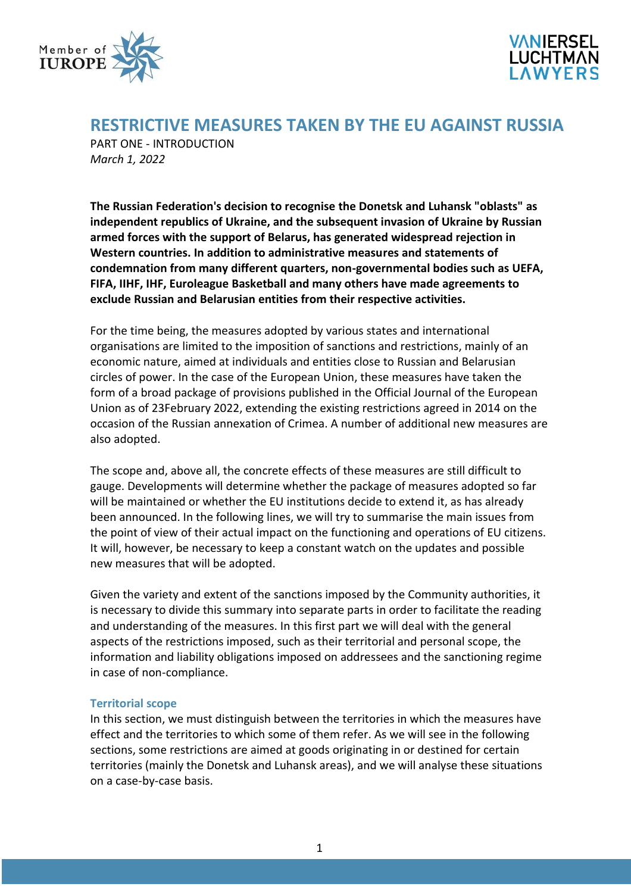



# **RESTRICTIVE MEASURES TAKEN BY THE EU AGAINST RUSSIA**

PART ONE - INTRODUCTION *March 1, 2022*

**The Russian Federation's decision to recognise the Donetsk and Luhansk "oblasts" as independent republics of Ukraine, and the subsequent invasion of Ukraine by Russian armed forces with the support of Belarus, has generated widespread rejection in Western countries. In addition to administrative measures and statements of condemnation from many different quarters, non-governmental bodies such as UEFA, FIFA, IIHF, IHF, Euroleague Basketball and many others have made agreements to exclude Russian and Belarusian entities from their respective activities.**

For the time being, the measures adopted by various states and international organisations are limited to the imposition of sanctions and restrictions, mainly of an economic nature, aimed at individuals and entities close to Russian and Belarusian circles of power. In the case of the European Union, these measures have taken the form of a broad package of provisions published in the Official Journal of the European Union as of 23February 2022, extending the existing restrictions agreed in 2014 on the occasion of the Russian annexation of Crimea. A number of additional new measures are also adopted.

The scope and, above all, the concrete effects of these measures are still difficult to gauge. Developments will determine whether the package of measures adopted so far will be maintained or whether the EU institutions decide to extend it, as has already been announced. In the following lines, we will try to summarise the main issues from the point of view of their actual impact on the functioning and operations of EU citizens. It will, however, be necessary to keep a constant watch on the updates and possible new measures that will be adopted.

Given the variety and extent of the sanctions imposed by the Community authorities, it is necessary to divide this summary into separate parts in order to facilitate the reading and understanding of the measures. In this first part we will deal with the general aspects of the restrictions imposed, such as their territorial and personal scope, the information and liability obligations imposed on addressees and the sanctioning regime in case of non-compliance.

## **Territorial scope**

In this section, we must distinguish between the territories in which the measures have effect and the territories to which some of them refer. As we will see in the following sections, some restrictions are aimed at goods originating in or destined for certain territories (mainly the Donetsk and Luhansk areas), and we will analyse these situations on a case-by-case basis.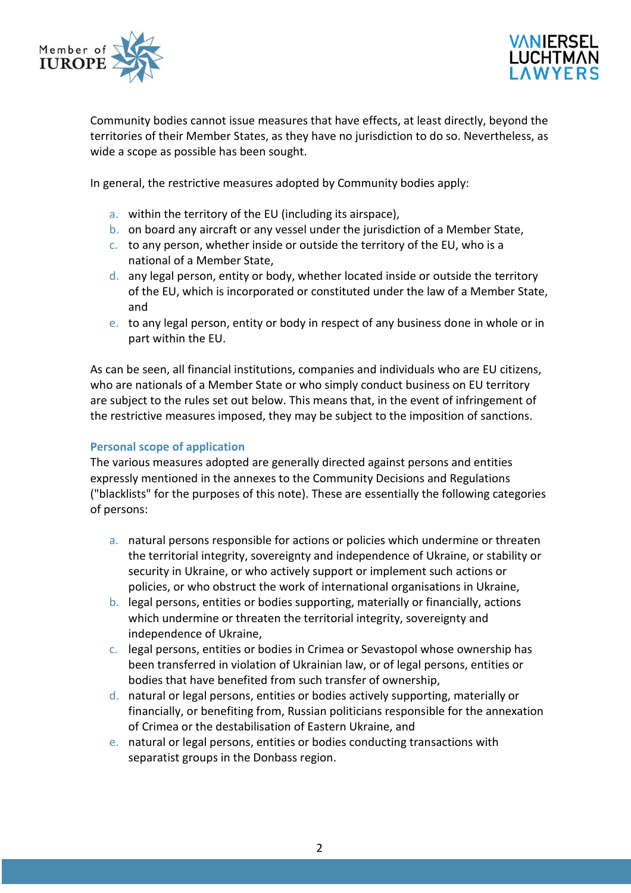



Community bodies cannot issue measures that have effects, at least directly, beyond the territories of their Member States, as they have no jurisdiction to do so. Nevertheless, as wide a scope as possible has been sought.

In general, the restrictive measures adopted by Community bodies apply:

- a. within the territory of the EU (including its airspace),
- b. on board any aircraft or any vessel under the jurisdiction of a Member State,
- c. to any person, whether inside or outside the territory of the EU, who is a national of a Member State,
- d. any legal person, entity or body, whether located inside or outside the territory of the EU, which is incorporated or constituted under the law of a Member State, and
- e. to any legal person, entity or body in respect of any business done in whole or in part within the EU.

As can be seen, all financial institutions, companies and individuals who are EU citizens, who are nationals of a Member State or who simply conduct business on EU territory are subject to the rules set out below. This means that, in the event of infringement of the restrictive measures imposed, they may be subject to the imposition of sanctions.

## **Personal scope of application**

The various measures adopted are generally directed against persons and entities expressly mentioned in the annexes to the Community Decisions and Regulations ("blacklists" for the purposes of this note). These are essentially the following categories of persons:

- a. natural persons responsible for actions or policies which undermine or threaten the territorial integrity, sovereignty and independence of Ukraine, or stability or security in Ukraine, or who actively support or implement such actions or policies, or who obstruct the work of international organisations in Ukraine,
- b. legal persons, entities or bodies supporting, materially or financially, actions which undermine or threaten the territorial integrity, sovereignty and independence of Ukraine,
- c. legal persons, entities or bodies in Crimea or Sevastopol whose ownership has been transferred in violation of Ukrainian law, or of legal persons, entities or bodies that have benefited from such transfer of ownership,
- d. natural or legal persons, entities or bodies actively supporting, materially or financially, or benefiting from, Russian politicians responsible for the annexation of Crimea or the destabilisation of Eastern Ukraine, and
- e. natural or legal persons, entities or bodies conducting transactions with separatist groups in the Donbass region.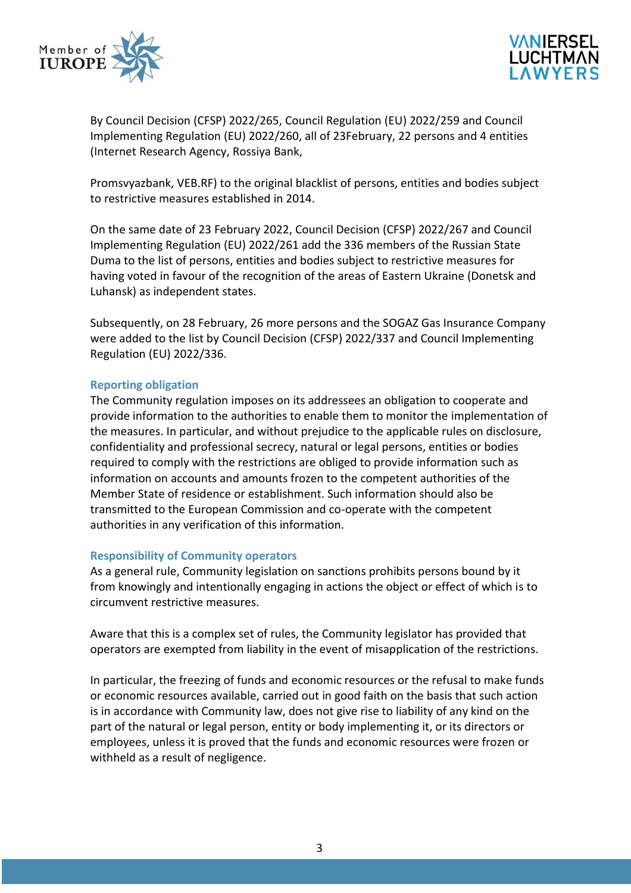



By Council Decision (CFSP) 2022/265, Council Regulation (EU) 2022/259 and Council Implementing Regulation (EU) 2022/260, all of 23February, 22 persons and 4 entities (Internet Research Agency, Rossiya Bank,

Promsvyazbank, VEB.RF) to the original blacklist of persons, entities and bodies subject to restrictive measures established in 2014.

On the same date of 23 February 2022, Council Decision (CFSP) 2022/267 and Council Implementing Regulation (EU) 2022/261 add the 336 members of the Russian State Duma to the list of persons, entities and bodies subject to restrictive measures for having voted in favour of the recognition of the areas of Eastern Ukraine (Donetsk and Luhansk) as independent states.

Subsequently, on 28 February, 26 more persons and the SOGAZ Gas Insurance Company were added to the list by Council Decision (CFSP) 2022/337 and Council Implementing Regulation (EU) 2022/336.

## **Reporting obligation**

The Community regulation imposes on its addressees an obligation to cooperate and provide information to the authorities to enable them to monitor the implementation of the measures. In particular, and without prejudice to the applicable rules on disclosure, confidentiality and professional secrecy, natural or legal persons, entities or bodies required to comply with the restrictions are obliged to provide information such as information on accounts and amounts frozen to the competent authorities of the Member State of residence or establishment. Such information should also be transmitted to the European Commission and co-operate with the competent authorities in any verification of this information.

#### **Responsibility of Community operators**

As a general rule, Community legislation on sanctions prohibits persons bound by it from knowingly and intentionally engaging in actions the object or effect of which is to circumvent restrictive measures.

Aware that this is a complex set of rules, the Community legislator has provided that operators are exempted from liability in the event of misapplication of the restrictions.

In particular, the freezing of funds and economic resources or the refusal to make funds or economic resources available, carried out in good faith on the basis that such action is in accordance with Community law, does not give rise to liability of any kind on the part of the natural or legal person, entity or body implementing it, or its directors or employees, unless it is proved that the funds and economic resources were frozen or withheld as a result of negligence.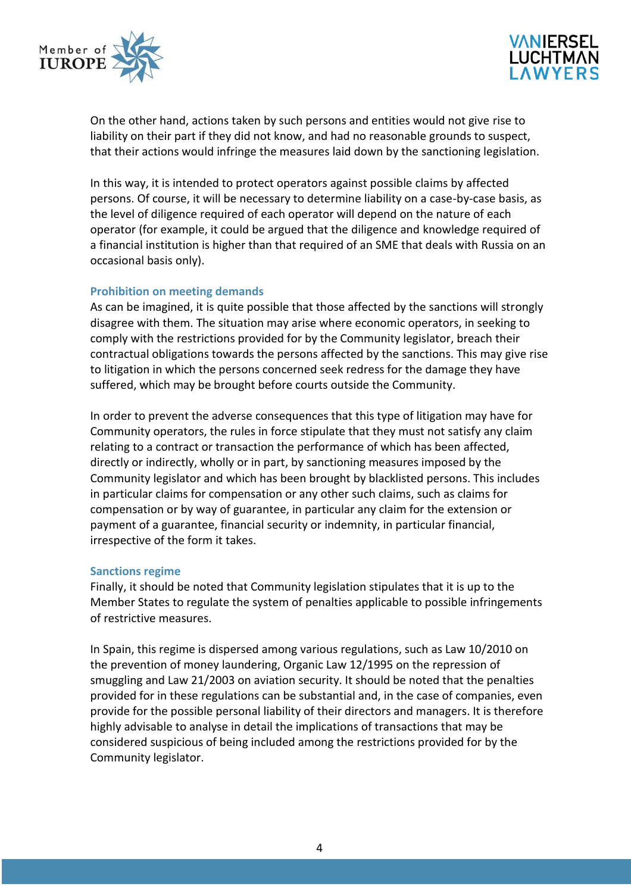



On the other hand, actions taken by such persons and entities would not give rise to liability on their part if they did not know, and had no reasonable grounds to suspect, that their actions would infringe the measures laid down by the sanctioning legislation.

In this way, it is intended to protect operators against possible claims by affected persons. Of course, it will be necessary to determine liability on a case-by-case basis, as the level of diligence required of each operator will depend on the nature of each operator (for example, it could be argued that the diligence and knowledge required of a financial institution is higher than that required of an SME that deals with Russia on an occasional basis only).

## **Prohibition on meeting demands**

As can be imagined, it is quite possible that those affected by the sanctions will strongly disagree with them. The situation may arise where economic operators, in seeking to comply with the restrictions provided for by the Community legislator, breach their contractual obligations towards the persons affected by the sanctions. This may give rise to litigation in which the persons concerned seek redress for the damage they have suffered, which may be brought before courts outside the Community.

In order to prevent the adverse consequences that this type of litigation may have for Community operators, the rules in force stipulate that they must not satisfy any claim relating to a contract or transaction the performance of which has been affected, directly or indirectly, wholly or in part, by sanctioning measures imposed by the Community legislator and which has been brought by blacklisted persons. This includes in particular claims for compensation or any other such claims, such as claims for compensation or by way of guarantee, in particular any claim for the extension or payment of a guarantee, financial security or indemnity, in particular financial, irrespective of the form it takes.

#### **Sanctions regime**

Finally, it should be noted that Community legislation stipulates that it is up to the Member States to regulate the system of penalties applicable to possible infringements of restrictive measures.

In Spain, this regime is dispersed among various regulations, such as Law 10/2010 on the prevention of money laundering, Organic Law 12/1995 on the repression of smuggling and Law 21/2003 on aviation security. It should be noted that the penalties provided for in these regulations can be substantial and, in the case of companies, even provide for the possible personal liability of their directors and managers. It is therefore highly advisable to analyse in detail the implications of transactions that may be considered suspicious of being included among the restrictions provided for by the Community legislator.